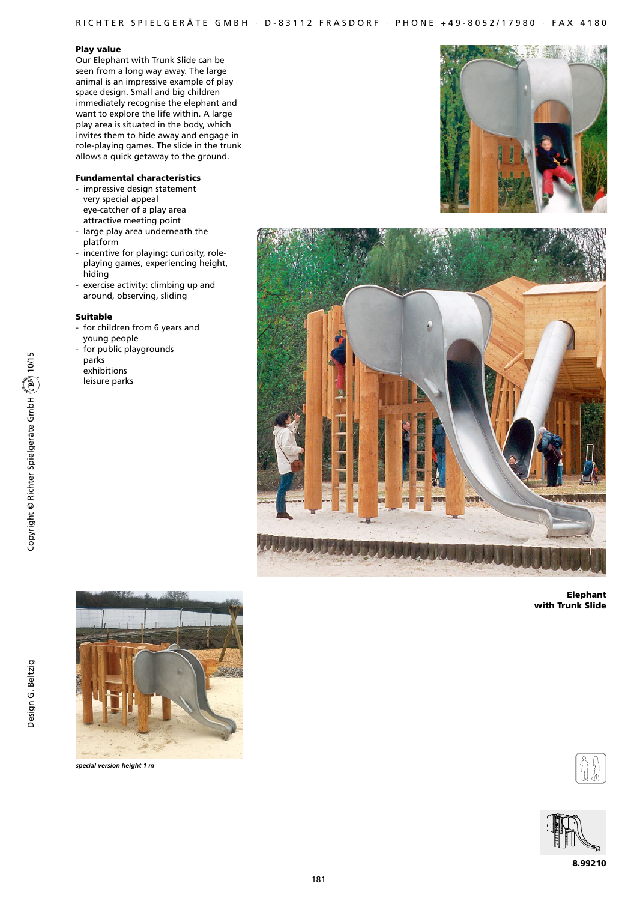## R I CHTER SPIEL GERÄTE GMBH · D-83112 FRASDORF · PHONE +49-8052/17980 · FAX 4180

#### Play value

Our Elephant with Trunk Slide can be seen from a long way away. The large animal is an impressive example of play space design. Small and big children immediately recognise the elephant and want to explore the life within. A large play area is situated in the body, which invites them to hide away and engage in role-playing games. The slide in the trunk allows a quick getaway to the ground.

### Fundamental characteristics

- impressive design statement very special appeal eye-catcher of a play area attractive meeting point
- large play area underneath the platform
- incentive for playing: curiosity, roleplaying games, experiencing height, hiding
- exercise activity: climbing up and around, observing, sliding

### Suitable

- for children from 6 years and young people
- for public playgrounds parks exhibitions
- leisure parks





Elephant with Trunk Slide



*special version height 1 m*